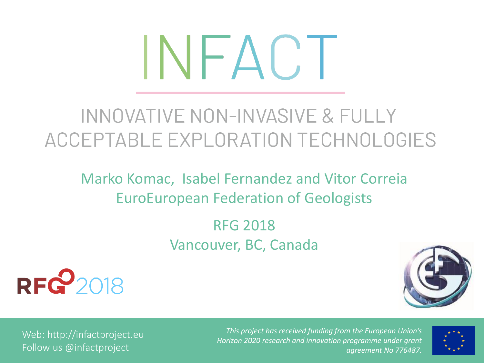# INFACT

# INNOVATIVE NON-INVASIVE & FULLY ACCEPTABLE EXPLORATION TECHNOLOGIES

Marko Komac, Isabel Fernandez and Vitor Correia EuroEuropean Federation of Geologists

> RFG 2018 Vancouver, BC, Canada





Web: http://infactproject.eu Follow us @infactproject

*This project has received funding from the European Union's Horizon 2020 research and innovation programme under grant agreement No 776487.*

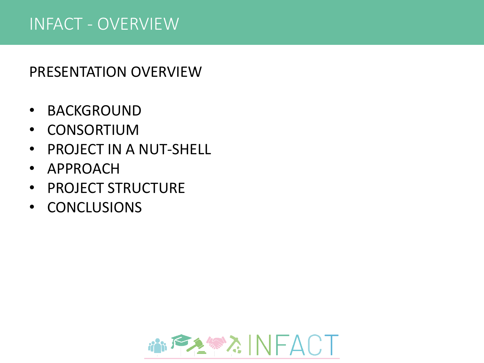#### INFACT - OVERVIEW

#### PRESENTATION OVERVIEW

- BACKGROUND
- CONSORTIUM
- PROJECT IN A NUT-SHELL
- APPROACH
- PROJECT STRUCTURE
- CONCLUSIONS

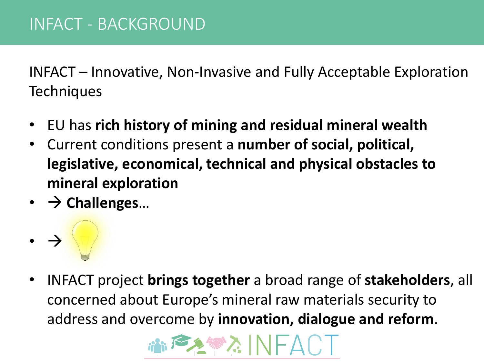INFACT – Innovative, Non-Invasive and Fully Acceptable Exploration **Techniques** 

- EU has **rich history of mining and residual mineral wealth**
- Current conditions present a **number of social, political, legislative, economical, technical and physical obstacles to mineral exploration**
- → **Challenges**…
- →
- INFACT project **brings together** a broad range of **stakeholders**, all concerned about Europe's mineral raw materials security to address and overcome by **innovation, dialogue and reform**.

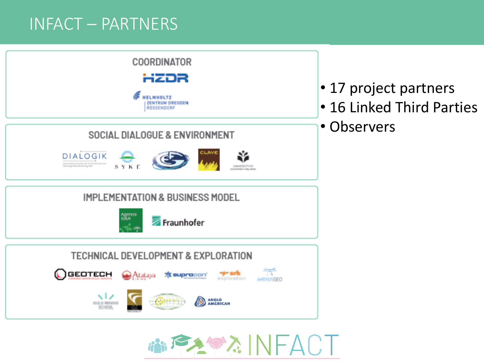#### INFACT – PARTNERS



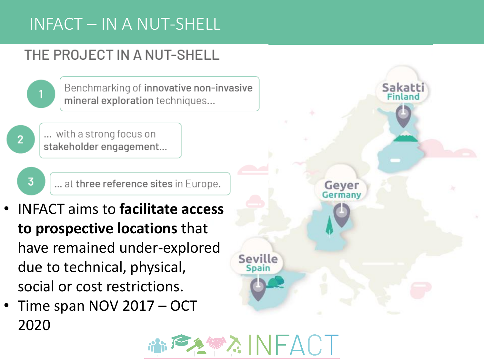## INFACT – IN A NUT-SHELL

#### THE PROJECT IN A NUT-SHELL



Benchmarking of innovative non-invasive mineral exploration techniques...

... with a strong focus on stakeholder engagement...

 $\overline{3}$ 

... at three reference sites in Europe.

- INFACT aims to **facilitate access to prospective locations** that have remained under-explored due to technical, physical, social or cost restrictions.
- Time span NOV 2017 OCT 2020



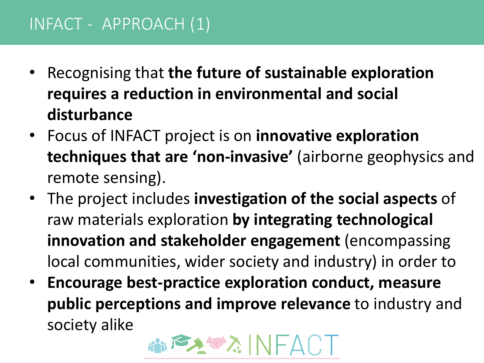### INFACT - APPROACH (1)

- Recognising that **the future of sustainable exploration requires a reduction in environmental and social disturbance**
- Focus of INFACT project is on **innovative exploration techniques that are 'non-invasive'** (airborne geophysics and remote sensing).
- The project includes **investigation of the social aspects** of raw materials exploration **by integrating technological innovation and stakeholder engagement** (encompassing local communities, wider society and industry) in order to
- **Encourage best-practice exploration conduct, measure public perceptions and improve relevance** to industry and society alike

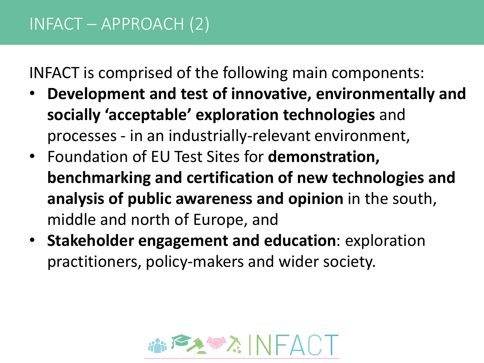INFACT is comprised of the following main components:

- **Development and test of innovative, environmentally and socially 'acceptable' exploration technologies** and processes - in an industrially-relevant environment,
- Foundation of EU Test Sites for **demonstration, benchmarking and certification of new technologies and analysis of public awareness and opinion** in the south, middle and north of Europe, and
- **Stakeholder engagement and education**: exploration practitioners, policy-makers and wider society.

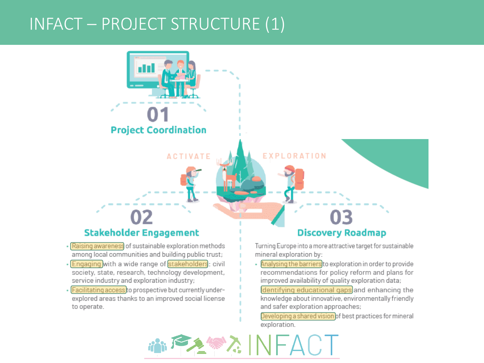#### INFACT – PROJECT STRUCTURE (1)

m **Project Coordination EXPLORATION ACTIVATE** 03 **Stakeholder Engagement Discovery Roadmap** · Raising awareness of sustainable exploration methods Turning Europe into a more attractive target for sustainable among local communities and building public trust; mineral exploration by: · Engaging with a wide range of stakeholders: civil Analysing the barriers to exploration in order to provide society, state, research, technology development, recommendations for policy reform and plans for service industry and exploration industry; improved availability of quality exploration data; - Facilitating access to prospective but currently underdentifying educational gaps and enhancing the explored areas thanks to an improved social license knowledge about innovative, environmentally friendly and safer exploration approaches; to operate.

> Developing a shared vision of best practices for mineral exploration.

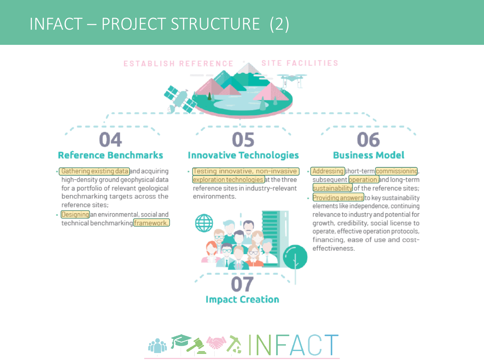### INFACT – PROJECT STRUCTURE (2)

**SITE FACILITIES ESTABLISH REFERENCE** 

#### **Reference Benchmarks**

- · Gathering existing data and acquiring high-density ground geophysical data for a portfolio of relevant geological benchmarking targets across the reference sites;
- · Designing an environmental, social and technical benchmarking framework.

#### **Innovative Technologies**

· Testing innovative, non-invasive exploration technologies at the three reference sites in industry-relevant environments.



#### 16 **Business Model**

- Addressing short-term commissioning, subsequent operation and long-term sustainability of the reference sites;
- · Providing answers to key sustainability elements like independence, continuing relevance to industry and potential for growth, credibility, social license to operate, effective operation protocols, financing, ease of use and costeffectiveness.

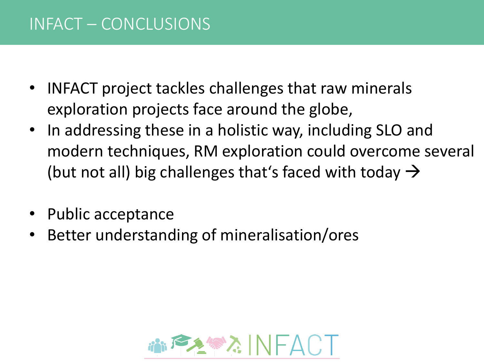#### INFACT – CONCLUSIONS

- INFACT project tackles challenges that raw minerals exploration projects face around the globe,
- In addressing these in a holistic way, including SLO and modern techniques, RM exploration could overcome several (but not all) big challenges that's faced with today  $\rightarrow$
- Public acceptance
- Better understanding of mineralisation/ores